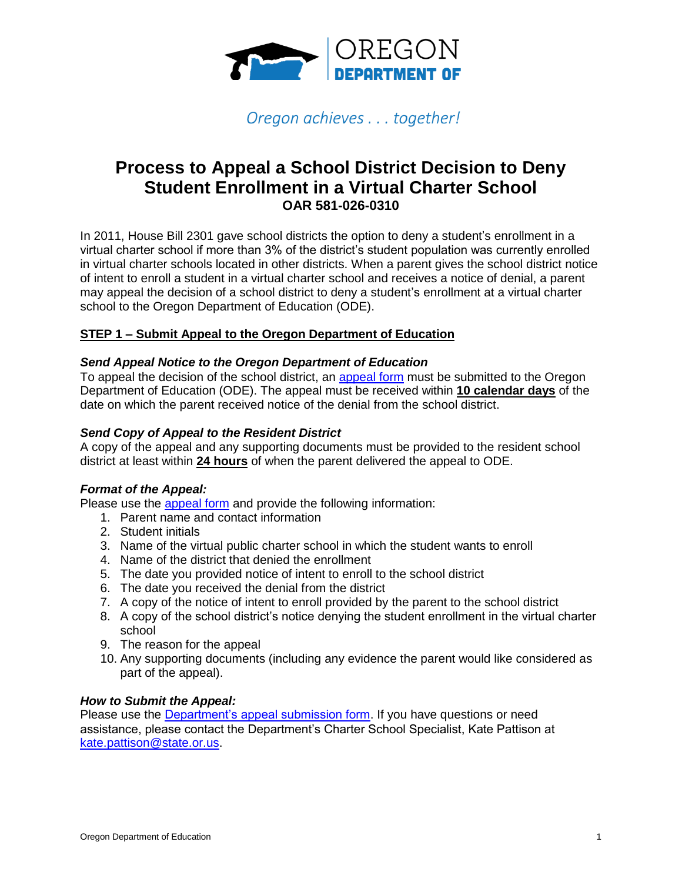

# Oregon achieves . . . together!

# **Process to Appeal a School District Decision to Deny Student Enrollment in a Virtual Charter School OAR 581-026-0310**

In 2011, House Bill 2301 gave school districts the option to deny a student's enrollment in a virtual charter school if more than 3% of the district's student population was currently enrolled in virtual charter schools located in other districts. When a parent gives the school district notice of intent to enroll a student in a virtual charter school and receives a notice of denial, a parent may appeal the decision of a school district to deny a student's enrollment at a virtual charter school to the Oregon Department of Education (ODE).

### **STEP 1 – Submit Appeal to the Oregon Department of Education**

### *Send Appeal Notice to the Oregon Department of Education*

To appeal the decision of the school district, an [appeal form](https://app.smartsheet.com/b/form/b7f4da3fddd745cf825c482b22379a47) must be submitted to the Oregon Department of Education (ODE). The appeal must be received within **10 calendar days** of the date on which the parent received notice of the denial from the school district.

#### *Send Copy of Appeal to the Resident District*

A copy of the appeal and any supporting documents must be provided to the resident school district at least within **24 hours** of when the parent delivered the appeal to ODE.

#### *Format of the Appeal:*

Please use the [appeal form](https://app.smartsheet.com/b/form/b7f4da3fddd745cf825c482b22379a47) and provide the following information:

- 1. Parent name and contact information
- 2. Student initials
- 3. Name of the virtual public charter school in which the student wants to enroll
- 4. Name of the district that denied the enrollment
- 5. The date you provided notice of intent to enroll to the school district
- 6. The date you received the denial from the district
- 7. A copy of the notice of intent to enroll provided by the parent to the school district
- 8. A copy of the school district's notice denying the student enrollment in the virtual charter school
- 9. The reason for the appeal
- 10. Any supporting documents (including any evidence the parent would like considered as part of the appeal).

#### *How to Submit the Appeal:*

Please use the [Department's appeal submission form.](https://app.smartsheet.com/b/form/b7f4da3fddd745cf825c482b22379a47) If you have questions or need assistance, please contact the Department's Charter School Specialist, Kate Pattison at [kate.pattison@state.or.us.](mailto:kate.pattison@state.or.us)